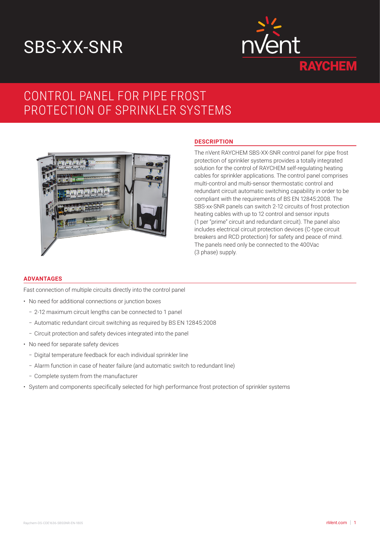# SBS-XX-SNR



# CONTROL PANEL FOR PIPE FROST PROTECTION OF SPRINKLER SYSTEMS



# **DESCRIPTION**

The nVent RAYCHEM SBS-XX-SNR control panel for pipe frost protection of sprinkler systems provides a totally integrated solution for the control of RAYCHEM self-regulating heating cables for sprinkler applications. The control panel comprises multi-control and multi-sensor thermostatic control and redundant circuit automatic switching capability in order to be compliant with the requirements of BS EN 12845:2008. The SBS-xx-SNR panels can switch 2-12 circuits of frost protection heating cables with up to 12 control and sensor inputs (1 per "prime" circuit and redundant circuit). The panel also includes electrical circuit protection devices (C-type circuit breakers and RCD protection) for safety and peace of mind. The panels need only be connected to the 400Vac (3 phase) supply.

# **ADVANTAGES**

Fast connection of multiple circuits directly into the control panel

- No need for additional connections or junction boxes
	- 2-12 maximum circuit lengths can be connected to 1 panel
	- Automatic redundant circuit switching as required by BS EN 12845:2008
	- Circuit protection and safety devices integrated into the panel
- No need for separate safety devices
	- Digital temperature feedback for each individual sprinkler line
	- Alarm function in case of heater failure (and automatic switch to redundant line)
	- Complete system from the manufacturer
- System and components specifically selected for high performance frost protection of sprinkler systems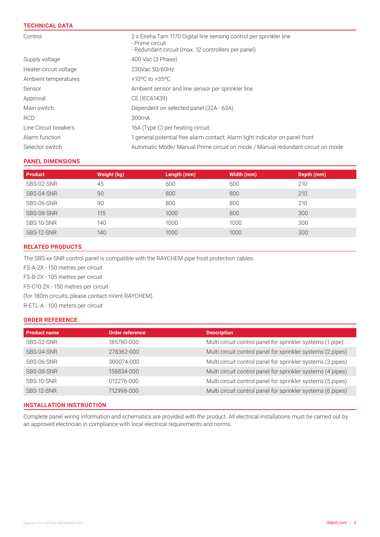# **TECHNICAL DATA**

| Control                | 2 x Elreha Tarn 1170 Digital line sensing control per sprinkler line<br>- Prime circuit<br>- Redundant circuit (max. 12 controllers per panel) |  |
|------------------------|------------------------------------------------------------------------------------------------------------------------------------------------|--|
| Supply voltage         | 400 Vac (3 Phase)                                                                                                                              |  |
| Heater circuit voltage | 230Vac 50/60Hz                                                                                                                                 |  |
| Ambient temperatures   | +10 $^{\circ}$ C to +35 $^{\circ}$ C                                                                                                           |  |
| Sensor                 | Ambient sensor and line sensor per sprinkler line                                                                                              |  |
| Approval               | CE (IEC61439)                                                                                                                                  |  |
| Main switch            | Dependent on selected panel (32A - 63A)                                                                                                        |  |
| <b>RCD</b>             | 300 <sub>m</sub> A                                                                                                                             |  |
| Line Circuit breakers  | 16A (Type C) per heating circuit.                                                                                                              |  |
| Alarm function         | 1 general potential free alarm contact; Alarm light indicator on panel front                                                                   |  |
| Selector switch        | Automatic Mode/ Manual Prime circuit on mode / Manual redundant circuit on mode                                                                |  |

# **PANEL DIMENSIONS**

| <b>Product</b> | Weight (kg) | Length (mm) | Width (mm) | Depth (mm) |
|----------------|-------------|-------------|------------|------------|
| SBS-02-SNR     | 45          | 600         | 600        | 210        |
| SBS-04-SNR     | 90          | 800         | 800        | 210        |
| SBS-06-SNR     | 90          | 800         | 800        | 210        |
| SBS-08-SNR     | 115         | 1000        | 800        | 300        |
| SBS-10-SNR     | 140         | 1000        | 1000       | 300        |
| SBS-12-SNR     | 140         | 1000        | 1000       | 300        |

# **RELATED PRODUCTS**

The SBS-xx-SNR control panel is compatible with the RAYCHEM pipe frost protection cables:

FS-A-2X - 150 metres per circuit FS-B-2X - 105 metres per circuit FS-C10-2X - 150 metres per circuit (for 180m circuits, please contact nVent RAYCHEM) R-ETL-A - 100 meters per circuit

# **ORDER REFERENCE**

| <b>Product name</b> | <b>Order reference</b> | <b>Description</b>                                          |
|---------------------|------------------------|-------------------------------------------------------------|
| SBS-02-SNR          | 185780-000             | Multi circuit control panel for sprinkler systems (1 pipe)  |
| SBS-04-SNR          | 278362-000             | Multi circuit control panel for sprinkler systems (2 pipes) |
| SBS-06-SNR          | 300074-000             | Multi circuit control panel for sprinkler systems (3 pipes) |
| SBS-08-SNR          | 158834-000             | Multi circuit control panel for sprinkler systems (4 pipes) |
| SBS-10-SNR          | 012276-000             | Multi circuit control panel for sprinkler systems (5 pipes) |
| SBS-12-SNR          | 712998-000             | Multi circuit control panel for sprinkler systems (6 pipes) |
|                     |                        |                                                             |

# **INSTALLATION INSTRUCTION**

Complete panel wiring information and schematics are provided with the product. All electrical installations must be carried out by an approved electrician in compliance with local electrical requirements and norms.